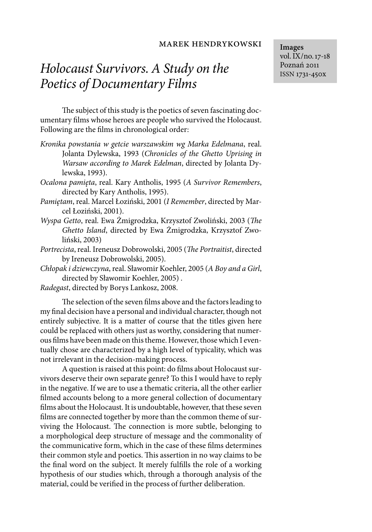# *Holocaust Survivors. A Study on the Poetics of Documentary Films*

The subject of this study is the poetics of seven fascinating documentary films whose heroes are people who survived the Holocaust. Following are the films in chronological order:

- *Kronika powstania w getcie warszawskim wg Marka Edelmana*, real. Jolanta Dylewska, 1993 (*Chronicles of the Ghetto Uprising in Warsaw according to Marek Edelman*, directed by Jolanta Dylewska, 1993).
- *Ocalona pamięta*, real. Kary Antholis, 1995 (*A Survivor Remembers*, directed by Kary Antholis, 1995).
- *Pamiętam*, real. Marcel Łoziński, 2001 (*I Remember*, directed by Marcel Łoziński, 2001).
- *Wyspa Getto*, real. Ewa Żmigrodzka, Krzysztof Zwoliński, 2003 (*The Ghetto Island*, directed by Ewa Żmigrodzka, Krzysztof Zwoliński, 2003)
- *Portrecista*, real. Ireneusz Dobrowolski, 2005 (*The Portraitist*, directed by Ireneusz Dobrowolski, 2005).
- *Chłopak i dziewczyna*, real. Sławomir Koehler, 2005 (*A Boy and a Girl*, directed by Sławomir Koehler, 2005) .
- *Radegast*, directed by Borys Lankosz, 2008.

The selection of the seven films above and the factors leading to my final decision have a personal and individual character, though not entirely subjective. It is a matter of course that the titles given here could be replaced with others just as worthy, considering that numerous films have been made on this theme. However, those which I eventually chose are characterized by a high level of typicality, which was not irrelevant in the decision-making process.

A question is raised at this point: do films about Holocaust survivors deserve their own separate genre? To this I would have to reply in the negative. If we are to use a thematic criteria, all the other earlier filmed accounts belong to a more general collection of documentary films about the Holocaust. It is undoubtable, however, that these seven films are connected together by more than the common theme of surviving the Holocaust. The connection is more subtle, belonging to a morphological deep structure of message and the commonality of the communicative form, which in the case of these films determines their common style and poetics. This assertion in no way claims to be the final word on the subject. It merely fulfills the role of a working hypothesis of our studies which, through a thorough analysis of the material, could be verified in the process of further deliberation.

**Images** vol. IX/no. 17-18 Poznań 2011 ISSN 1731-450x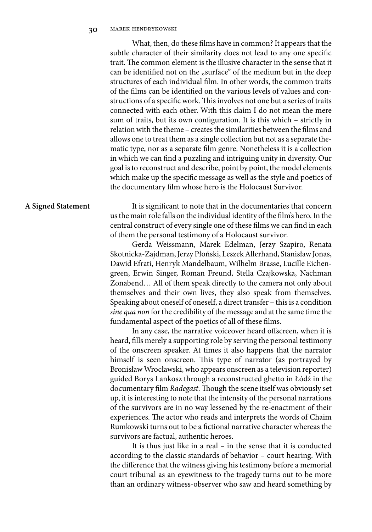What, then, do these films have in common? It appears that the subtle character of their similarity does not lead to any one specific trait. The common element is the illusive character in the sense that it can be identified not on the "surface" of the medium but in the deep structures of each individual film. In other words, the common traits of the films can be identified on the various levels of values and constructions of a specific work. This involves not one but a series of traits connected with each other. With this claim I do not mean the mere sum of traits, but its own configuration. It is this which – strictly in relation with the theme – creates the similarities between the films and allows one to treat them as a single collection but not as a separate thematic type, nor as a separate film genre. Nonetheless it is a collection in which we can find a puzzling and intriguing unity in diversity. Our goal is to reconstruct and describe, point by point, the model elements which make up the specific message as well as the style and poetics of the documentary film whose hero is the Holocaust Survivor.

### **A Signed Statement**

It is significant to note that in the documentaries that concern us the main role falls on the individual identity of the film's hero. In the central construct of every single one of these films we can find in each of them the personal testimony of a Holocaust survivor.

Gerda Weissmann, Marek Edelman, Jerzy Szapiro, Renata Skotnicka-Zajdman, Jerzy Płoński, Leszek Allerhand, Stanisław Jonas, Dawid Efrati, Henryk Mandelbaum, Wilhelm Brasse, Lucille Eichengreen, Erwin Singer, Roman Freund, Stella Czajkowska, Nachman Zonabend… All of them speak directly to the camera not only about themselves and their own lives, they also speak from themselves. Speaking about oneself of oneself, a direct transfer – this is a condition *sine qua non* for the credibility of the message and at the same time the fundamental aspect of the poetics of all of these films.

In any case, the narrative voiceover heard offscreen, when it is heard, fills merely a supporting role by serving the personal testimony of the onscreen speaker. At times it also happens that the narrator himself is seen onscreen. This type of narrator (as portrayed by Bronisław Wrocławski, who appears onscreen as a television reporter) guided Borys Lankosz through a reconstructed ghetto in Łódź in the documentary film *Radegast*. Though the scene itself was obviously set up, it is interesting to note that the intensity of the personal narrations of the survivors are in no way lessened by the re-enactment of their experiences. The actor who reads and interprets the words of Chaim Rumkowski turns out to be a fictional narrative character whereas the survivors are factual, authentic heroes.

It is thus just like in a real – in the sense that it is conducted according to the classic standards of behavior – court hearing. With the difference that the witness giving his testimony before a memorial court tribunal as an eyewitness to the tragedy turns out to be more than an ordinary witness-observer who saw and heard something by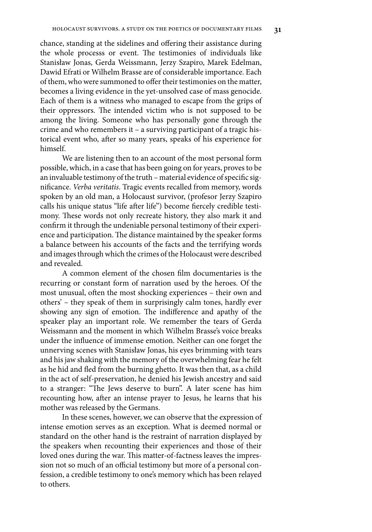# chance, standing at the sidelines and offering their assistance during the whole processs or event. The testimonies of individuals like Stanisław Jonas, Gerda Weissmann, Jerzy Szapiro, Marek Edelman, Dawid Efrati or Wilhelm Brasse are of considerable importance. Each of them, who were summoned to offer their testimonies on the matter, becomes a living evidence in the yet-unsolved case of mass genocide. Each of them is a witness who managed to escape from the grips of their oppressors. The intended victim who is not supposed to be among the living. Someone who has personally gone through the crime and who remembers it – a surviving participant of a tragic historical event who, after so many years, speaks of his experience for himself.

We are listening then to an account of the most personal form possible, which, in a case that has been going on for years, proves to be an invaluable testimony of the truth – material evidence of specific significance. *Verba veritatis*. Tragic events recalled from memory, words spoken by an old man, a Holocaust survivor, (profesor Jerzy Szapiro calls his unique status "life after life") become fiercely credible testimony. These words not only recreate history, they also mark it and confirm it through the undeniable personal testimony of their experience and participation. The distance maintained by the speaker forms a balance between his accounts of the facts and the terrifying words and images through which the crimes of the Holocaust were described and revealed.

A common element of the chosen film documentaries is the recurring or constant form of narration used by the heroes. Of the most unusual, often the most shocking experiences – their own and others' – they speak of them in surprisingly calm tones, hardly ever showing any sign of emotion. The indifference and apathy of the speaker play an important role. We remember the tears of Gerda Weissmann and the moment in which Wilhelm Brasse's voice breaks under the influence of immense emotion. Neither can one forget the unnerving scenes with Stanisław Jonas, his eyes brimming with tears and his jaw shaking with the memory of the overwhelming fear he felt as he hid and fled from the burning ghetto. It was then that, as a child in the act of self-preservation, he denied his Jewish ancestry and said to a stranger: "The Jews deserve to burn". A later scene has him recounting how, after an intense prayer to Jesus, he learns that his mother was released by the Germans.

In these scenes, however, we can observe that the expression of intense emotion serves as an exception. What is deemed normal or standard on the other hand is the restraint of narration displayed by the speakers when recounting their experiences and those of their loved ones during the war. This matter-of-factness leaves the impression not so much of an official testimony but more of a personal confession, a credible testimony to one's memory which has been relayed to others.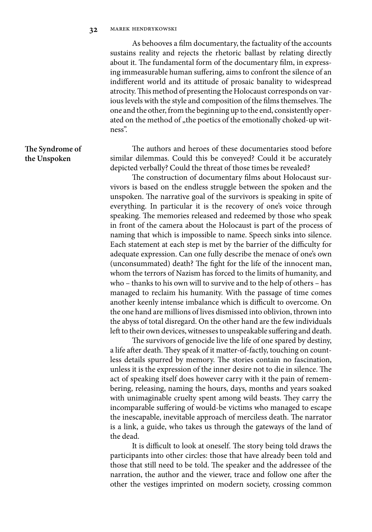As behooves a film documentary, the factuality of the accounts sustains reality and rejects the rhetoric ballast by relating directly about it. The fundamental form of the documentary film, in expressing immeasurable human suffering, aims to confront the silence of an indifferent world and its attitude of prosaic banality to widespread atrocity. This method of presenting the Holocaust corresponds on various levels with the style and composition of the films themselves. The one and the other, from the beginning up to the end, consistently operated on the method of "the poetics of the emotionally choked-up witness".

The authors and heroes of these documentaries stood before similar dilemmas. Could this be conveyed? Could it be accurately depicted verbally? Could the threat of those times be revealed?

The construction of documentary films about Holocaust survivors is based on the endless struggle between the spoken and the unspoken. The narrative goal of the survivors is speaking in spite of everything. In particular it is the recovery of one's voice through speaking. The memories released and redeemed by those who speak in front of the camera about the Holocaust is part of the process of naming that which is impossible to name. Speech sinks into silence. Each statement at each step is met by the barrier of the difficulty for adequate expression. Can one fully describe the menace of one's own (unconsummated) death? The fight for the life of the innocent man, whom the terrors of Nazism has forced to the limits of humanity, and who – thanks to his own will to survive and to the help of others – has managed to reclaim his humanity. With the passage of time comes another keenly intense imbalance which is difficult to overcome. On the one hand are millions of lives dismissed into oblivion, thrown into the abyss of total disregard. On the other hand are the few individuals left to their own devices, witnesses to unspeakable suffering and death.

The survivors of genocide live the life of one spared by destiny, a life after death. They speak of it matter-of-factly, touching on countless details spurred by memory. The stories contain no fascination, unless it is the expression of the inner desire not to die in silence. The act of speaking itself does however carry with it the pain of remembering, releasing, naming the hours, days, months and years soaked with unimaginable cruelty spent among wild beasts. They carry the incomparable suffering of would-be victims who managed to escape the inescapable, inevitable approach of merciless death. The narrator is a link, a guide, who takes us through the gateways of the land of the dead.

It is difficult to look at oneself. The story being told draws the participants into other circles: those that have already been told and those that still need to be told. The speaker and the addressee of the narration, the author and the viewer, trace and follow one after the other the vestiges imprinted on modern society, crossing common

### **The Syndrome of the Unspoken**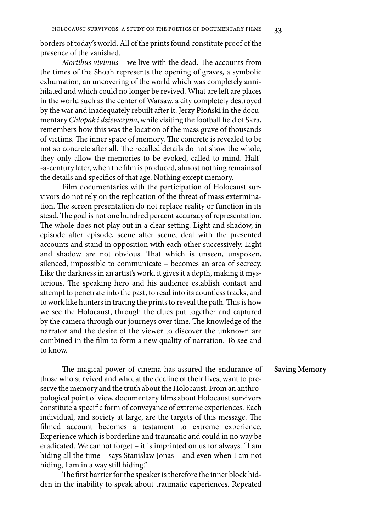borders of today's world. All of the prints found constitute proof of the presence of the vanished.

*Mortibus vivimus* – we live with the dead. The accounts from the times of the Shoah represents the opening of graves, a symbolic exhumation, an uncovering of the world which was completely annihilated and which could no longer be revived. What are left are places in the world such as the center of Warsaw, a city completely destroyed by the war and inadequately rebuilt after it. Jerzy Płoński in the documentary *Chłopak i dziewczyna*, while visiting the football field of Skra, remembers how this was the location of the mass grave of thousands of victims. The inner space of memory. The concrete is revealed to be not so concrete after all. The recalled details do not show the whole, they only allow the memories to be evoked, called to mind. Half- -a-century later, when the film is produced, almost nothing remains of the details and specifics of that age. Nothing except memory.

Film documentaries with the participation of Holocaust survivors do not rely on the replication of the threat of mass extermination. The screen presentation do not replace reality or function in its stead. The goal is not one hundred percent accuracy of representation. The whole does not play out in a clear setting. Light and shadow, in episode after episode, scene after scene, deal with the presented accounts and stand in opposition with each other successively. Light and shadow are not obvious. That which is unseen, unspoken, silenced, impossible to communicate – becomes an area of secrecy. Like the darkness in an artist's work, it gives it a depth, making it mysterious. The speaking hero and his audience establish contact and attempt to penetrate into the past, to read into its countless tracks, and to work like hunters in tracing the prints to reveal the path. This is how we see the Holocaust, through the clues put together and captured by the camera through our journeys over time. The knowledge of the narrator and the desire of the viewer to discover the unknown are combined in the film to form a new quality of narration. To see and to know.

The magical power of cinema has assured the endurance of those who survived and who, at the decline of their lives, want to preserve the memory and the truth about the Holocaust. From an anthropological point of view, documentary films about Holocaust survivors constitute a specific form of conveyance of extreme experiences. Each individual, and society at large, are the targets of this message. The filmed account becomes a testament to extreme experience. Experience which is borderline and traumatic and could in no way be eradicated. We cannot forget – it is imprinted on us for always. "I am hiding all the time – says Stanisław Jonas – and even when I am not hiding, I am in a way still hiding."

The first barrier for the speaker is therefore the inner block hidden in the inability to speak about traumatic experiences. Repeated

### **Saving Memory**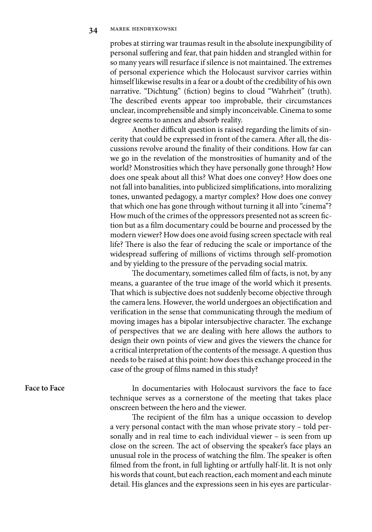probes at stirring war traumas result in the absolute inexpungibility of personal suffering and fear, that pain hidden and strangled within for so many years will resurface if silence is not maintained. The extremes of personal experience which the Holocaust survivor carries within himself likewise results in a fear or a doubt of the credibility of his own narrative. "Dichtung" (fiction) begins to cloud "Wahrheit" (truth). The described events appear too improbable, their circumstances unclear, incomprehensible and simply inconceivable. Cinema to some degree seems to annex and absorb reality.

Another difficult question is raised regarding the limits of sincerity that could be expressed in front of the camera. After all, the discussions revolve around the finality of their conditions. How far can we go in the revelation of the monstrosities of humanity and of the world? Monstrosities which they have personally gone through? How does one speak about all this? What does one convey? How does one not fall into banalities, into publicized simplifications, into moralizing tones, unwanted pedagogy, a martyr complex? How does one convey that which one has gone through without turning it all into "cinema"? How much of the crimes of the oppressors presented not as screen fiction but as a film documentary could be bourne and processed by the modern viewer? How does one avoid fusing screen spectacle with real life? There is also the fear of reducing the scale or importance of the widespread suffering of millions of victims through self-promotion and by yielding to the pressure of the pervading social matrix.

The documentary, sometimes called film of facts, is not, by any means, a guarantee of the true image of the world which it presents. That which is subjective does not suddenly become objective through the camera lens. However, the world undergoes an objectification and verification in the sense that communicating through the medium of moving images has a bipolar intersubjective character. The exchange of perspectives that we are dealing with here allows the authors to design their own points of view and gives the viewers the chance for a critical interpretation of the contents of the message. A question thus needs to be raised at this point: how does this exchange proceed in the case of the group of films named in this study?

### **Face to Face**

In documentaries with Holocaust survivors the face to face technique serves as a cornerstone of the meeting that takes place onscreen between the hero and the viewer.

The recipient of the film has a unique occassion to develop a very personal contact with the man whose private story – told personally and in real time to each individual viewer – is seen from up close on the screen. The act of observing the speaker's face plays an unusual role in the process of watching the film. The speaker is often filmed from the front, in full lighting or artfully half-lit. It is not only his words that count, but each reaction, each moment and each minute detail. His glances and the expressions seen in his eyes are particular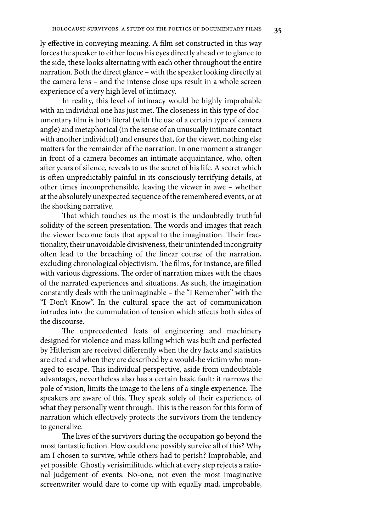ly effective in conveying meaning. A film set constructed in this way forces the speaker to either focus his eyes directly ahead or to glance to the side, these looks alternating with each other throughout the entire narration. Both the direct glance – with the speaker looking directly at the camera lens – and the intense close ups result in a whole screen experience of a very high level of intimacy.

In reality, this level of intimacy would be highly improbable with an individual one has just met. The closeness in this type of documentary film is both literal (with the use of a certain type of camera angle) and metaphorical (in the sense of an unusually intimate contact with another individual) and ensures that, for the viewer, nothing else matters for the remainder of the narration. In one moment a stranger in front of a camera becomes an intimate acquaintance, who, often after years of silence, reveals to us the secret of his life. A secret which is often unpredictably painful in its consciously terrifying details, at other times incomprehensible, leaving the viewer in awe – whether at the absolutely unexpected sequence of the remembered events, or at the shocking narrative.

That which touches us the most is the undoubtedly truthful solidity of the screen presentation. The words and images that reach the viewer become facts that appeal to the imagination. Their fractionality, their unavoidable divisiveness, their unintended incongruity often lead to the breaching of the linear course of the narration, excluding chronological objectivism. The films, for instance, are filled with various digressions. The order of narration mixes with the chaos of the narrated experiences and situations. As such, the imagination constantly deals with the unimaginable – the "I Remember" with the "I Don't Know". In the cultural space the act of communication intrudes into the cummulation of tension which affects both sides of the discourse.

The unprecedented feats of engineering and machinery designed for violence and mass killing which was built and perfected by Hitlerism are received differently when the dry facts and statistics are cited and when they are described by a would-be victim who managed to escape. This individual perspective, aside from undoubtable advantages, nevertheless also has a certain basic fault: it narrows the pole of vision, limits the image to the lens of a single experience. The speakers are aware of this. They speak solely of their experience, of what they personally went through. This is the reason for this form of narration which effectively protects the survivors from the tendency to generalize.

The lives of the survivors during the occupation go beyond the most fantastic fiction. How could one possibly survive all of this? Why am I chosen to survive, while others had to perish? Improbable, and yet possible. Ghostly verisimilitude, which at every step rejects a rational judgement of events. No-one, not even the most imaginative screenwriter would dare to come up with equally mad, improbable,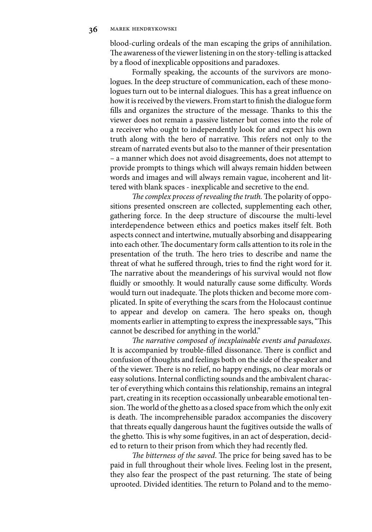blood-curling ordeals of the man escaping the grips of annihilation. The awareness of the viewer listening in on the story-telling is attacked by a flood of inexplicable oppositions and paradoxes.

Formally speaking, the accounts of the survivors are monologues. In the deep structure of communication, each of these monologues turn out to be internal dialogues. This has a great influence on how it is received by the viewers. From start to finish the dialogue form fills and organizes the structure of the message. Thanks to this the viewer does not remain a passive listener but comes into the role of a receiver who ought to independently look for and expect his own truth along with the hero of narrative. This refers not only to the stream of narrated events but also to the manner of their presentation – a manner which does not avoid disagreements, does not attempt to provide prompts to things which will always remain hidden between words and images and will always remain vague, incoherent and littered with blank spaces - inexplicable and secretive to the end.

*The complex process of revealing the truth.* The polarity of oppositions presented onscreen are collected, supplementing each other, gathering force. In the deep structure of discourse the multi-level interdependence between ethics and poetics makes itself felt. Both aspects connect and intertwine, mutually absorbing and disappearing into each other. The documentary form calls attention to its role in the presentation of the truth. The hero tries to describe and name the threat of what he suffered through, tries to find the right word for it. The narrative about the meanderings of his survival would not flow fluidly or smoothly. It would naturally cause some difficulty. Words would turn out inadequate. The plots thicken and become more complicated. In spite of everything the scars from the Holocaust continue to appear and develop on camera. The hero speaks on, though moments earlier in attempting to express the inexpressable says, "This cannot be described for anything in the world."

*The narrative composed of inexplainable events and paradoxes*. It is accompanied by trouble-filled dissonance. There is conflict and confusion of thoughts and feelings both on the side of the speaker and of the viewer. There is no relief, no happy endings, no clear morals or easy solutions. Internal conflicting sounds and the ambivalent character of everything which contains this relationship, remains an integral part, creating in its reception occassionally unbearable emotional tension. The world of the ghetto as a closed space from which the only exit is death. The incomprehensible paradox accompanies the discovery that threats equally dangerous haunt the fugitives outside the walls of the ghetto. This is why some fugitives, in an act of desperation, decided to return to their prison from which they had recently fled.

*The bitterness of the saved*. The price for being saved has to be paid in full throughout their whole lives. Feeling lost in the present, they also fear the prospect of the past returning. The state of being uprooted. Divided identities. The return to Poland and to the memo-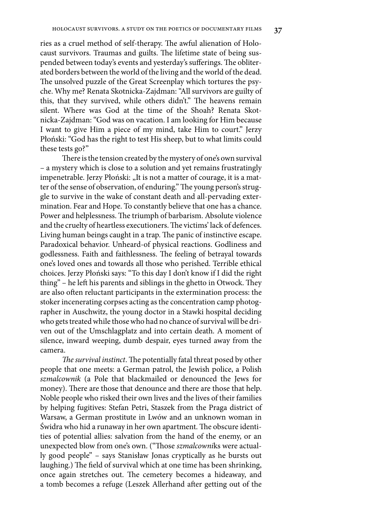ries as a cruel method of self-therapy. The awful alienation of Holocaust survivors. Traumas and guilts. The lifetime state of being suspended between today's events and yesterday's sufferings. The obliterated borders between the world of the living and the world of the dead. The unsolved puzzle of the Great Screenplay which tortures the psyche. Why me? Renata Skotnicka-Zajdman: "All survivors are guilty of this, that they survived, while others didn't." The heavens remain silent. Where was God at the time of the Shoah? Renata Skotnicka-Zajdman: "God was on vacation. I am looking for Him because I want to give Him a piece of my mind, take Him to court." Jerzy Płoński: "God has the right to test His sheep, but to what limits could these tests go?"

There is the tension created by the mystery of one's own survival – a mystery which is close to a solution and yet remains frustratingly impenetrable. Jerzy Płoński: "It is not a matter of courage, it is a matter of the sense of observation, of enduring." The young person's struggle to survive in the wake of constant death and all-pervading extermination. Fear and Hope. To constantly believe that one has a chance. Power and helplessness. The triumph of barbarism. Absolute violence and the cruelty of heartless executioners. The victims' lack of defences. Living human beings caught in a trap. The panic of instinctive escape. Paradoxical behavior. Unheard-of physical reactions. Godliness and godlessness. Faith and faithlessness. The feeling of betrayal towards one's loved ones and towards all those who perished. Terrible ethical choices. Jerzy Płoński says: "To this day I don't know if I did the right thing" – he left his parents and siblings in the ghetto in Otwock. They are also often reluctant participants in the extermination process: the stoker incenerating corpses acting as the concentration camp photographer in Auschwitz, the young doctor in a Stawki hospital deciding who gets treated while those who had no chance of survival will be driven out of the Umschlagplatz and into certain death. A moment of silence, inward weeping, dumb despair, eyes turned away from the camera.

*The survival instinct*. The potentially fatal threat posed by other people that one meets: a German patrol, the Jewish police, a Polish *szmalcownik* (a Pole that blackmailed or denounced the Jews for money). There are those that denounce and there are those that help. Noble people who risked their own lives and the lives of their families by helping fugitives: Stefan Petri, Staszek from the Praga district of Warsaw, a German prostitute in Lwów and an unknown woman in Świdra who hid a runaway in her own apartment. The obscure identities of potential allies: salvation from the hand of the enemy, or an unexpected blow from one's own. ("Those *szmalcowni*ks were actually good people" – says Stanisław Jonas cryptically as he bursts out laughing.) The field of survival which at one time has been shrinking, once again stretches out. The cemetery becomes a hideaway, and a tomb becomes a refuge (Leszek Allerhand after getting out of the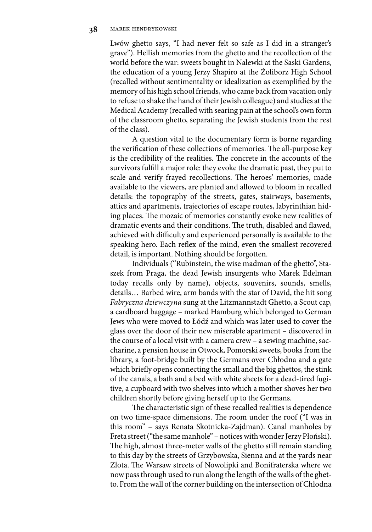Lwów ghetto says, "I had never felt so safe as I did in a stranger's grave"). Hellish memories from the ghetto and the recollection of the world before the war: sweets bought in Nalewki at the Saski Gardens, the education of a young Jerzy Shapiro at the Żoliborz High School (recalled without sentimentality or idealization as exemplified by the memory of his high school friends, who came back from vacation only to refuse to shake the hand of their Jewish colleague) and studies at the Medical Academy (recalled with searing pain at the school's own form of the classroom ghetto, separating the Jewish students from the rest of the class).

A question vital to the documentary form is borne regarding the verification of these collections of memories. The all-purpose key is the credibility of the realities. The concrete in the accounts of the survivors fulfill a major role: they evoke the dramatic past, they put to scale and verify frayed recollections. The heroes' memories, made available to the viewers, are planted and allowed to bloom in recalled details: the topography of the streets, gates, stairways, basements, attics and apartments, trajectories of escape routes, labyrinthian hiding places. The mozaic of memories constantly evoke new realities of dramatic events and their conditions. The truth, disabled and flawed, achieved with difficulty and experienced personally is available to the speaking hero. Each reflex of the mind, even the smallest recovered detail, is important. Nothing should be forgotten.

Individuals ("Rubinstein, the wise madman of the ghetto", Staszek from Praga, the dead Jewish insurgents who Marek Edelman today recalls only by name), objects, souvenirs, sounds, smells, details… Barbed wire, arm bands with the star of David, the hit song *Fabryczna dziewczyna* sung at the Litzmannstadt Ghetto, a Scout cap, a cardboard baggage – marked Hamburg which belonged to German Jews who were moved to Łódź and which was later used to cover the glass over the door of their new miserable apartment – discovered in the course of a local visit with a camera crew – a sewing machine, saccharine, a pension house in Otwock, Pomorski sweets, books from the library, a foot-bridge built by the Germans over Chłodna and a gate which briefly opens connecting the small and the big ghettos, the stink of the canals, a bath and a bed with white sheets for a dead-tired fugitive, a cupboard with two shelves into which a mother shoves her two children shortly before giving herself up to the Germans.

The characteristic sign of these recalled realities is dependence on two time-space dimensions. The room under the roof ("I was in this room" – says Renata Skotnicka-Zajdman). Canal manholes by Freta street ("the same manhole" – notices with wonder Jerzy Płoński). The high, almost three-meter walls of the ghetto still remain standing to this day by the streets of Grzybowska, Sienna and at the yards near Złota. The Warsaw streets of Nowolipki and Bonifraterska where we now pass through used to run along the length of the walls of the ghetto. From the wall of the corner building on the intersection of Chłodna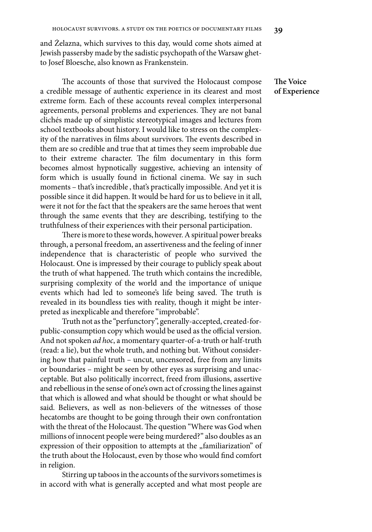and Żelazna, which survives to this day, would come shots aimed at Jewish passersby made by the sadistic psychopath of the Warsaw ghetto Josef Bloesche, also known as Frankenstein.

The accounts of those that survived the Holocaust compose a credible message of authentic experience in its clearest and most extreme form. Each of these accounts reveal complex interpersonal agreements, personal problems and experiences. They are not banal clichés made up of simplistic stereotypical images and lectures from school textbooks about history. I would like to stress on the complexity of the narratives in films about survivors. The events described in them are so credible and true that at times they seem improbable due to their extreme character. The film documentary in this form becomes almost hypnotically suggestive, achieving an intensity of form which is usually found in fictional cinema. We say in such moments – that's incredible , that's practically impossible. And yet it is possible since it did happen. It would be hard for us to believe in it all, were it not for the fact that the speakers are the same heroes that went through the same events that they are describing, testifying to the truthfulness of their experiences with their personal participation.

There is more to these words, however. A spiritual power breaks through, a personal freedom, an assertiveness and the feeling of inner independence that is characteristic of people who survived the Holocaust. One is impressed by their courage to publicly speak about the truth of what happened. The truth which contains the incredible, surprising complexity of the world and the importance of unique events which had led to someone's life being saved. The truth is revealed in its boundless ties with reality, though it might be interpreted as inexplicable and therefore "improbable".

Truth not as the "perfunctory", generally-accepted, created-forpublic-consumption copy which would be used as the official version. And not spoken *ad hoc*, a momentary quarter-of-a-truth or half-truth (read: a lie), but the whole truth, and nothing but. Without considering how that painful truth – uncut, uncensored, free from any limits or boundaries – might be seen by other eyes as surprising and unacceptable. But also politically incorrect, freed from illusions, assertive and rebellious in the sense of one's own act of crossing the lines against that which is allowed and what should be thought or what should be said. Believers, as well as non-believers of the witnesses of those hecatombs are thought to be going through their own confrontation with the threat of the Holocaust. The question "Where was God when millions of innocent people were being murdered?" also doubles as an expression of their opposition to attempts at the "familiarization" of the truth about the Holocaust, even by those who would find comfort in religion.

Stirring up taboos in the accounts of the survivors sometimes is in accord with what is generally accepted and what most people are

**The Voice of Experience**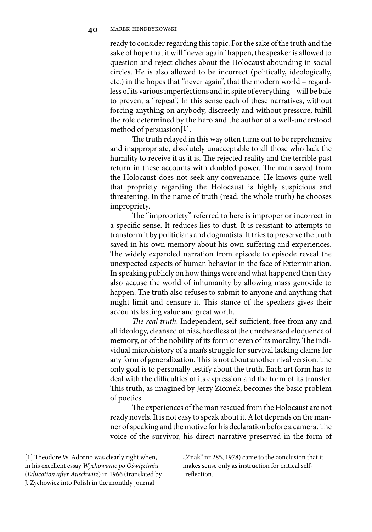ready to consider regarding this topic. For the sake of the truth and the sake of hope that it will "never again" happen, the speaker is allowed to question and reject cliches about the Holocaust abounding in social circles. He is also allowed to be incorrect (politically, ideologically, etc.) in the hopes that "never again", that the modern world – regardless of its various imperfections and in spite of everything – will be bale to prevent a "repeat". In this sense each of these narratives, without forcing anything on anybody, discreetly and without pressure, fulfill the role determined by the hero and the author of a well-understood method of persuasion[**1**].

The truth relayed in this way often turns out to be reprehensive and inappropriate, absolutely unacceptable to all those who lack the humility to receive it as it is. The rejected reality and the terrible past return in these accounts with doubled power. The man saved from the Holocaust does not seek any convenance. He knows quite well that propriety regarding the Holocaust is highly suspicious and threatening. In the name of truth (read: the whole truth) he chooses impropriety.

The "impropriety" referred to here is improper or incorrect in a specific sense. It reduces lies to dust. It is resistant to attempts to transform it by politicians and dogmatists. It tries to preserve the truth saved in his own memory about his own suffering and experiences. The widely expanded narration from episode to episode reveal the unexpected aspects of human behavior in the face of Extermination. In speaking publicly on how things were and what happened then they also accuse the world of inhumanity by allowing mass genocide to happen. The truth also refuses to submit to anyone and anything that might limit and censure it. This stance of the speakers gives their accounts lasting value and great worth.

*The real truth*. Independent, self-sufficient, free from any and all ideology, cleansed of bias, heedless of the unrehearsed eloquence of memory, or of the nobility of its form or even of its morality. The individual microhistory of a man's struggle for survival lacking claims for any form of generalization. This is not about another rival version. The only goal is to personally testify about the truth. Each art form has to deal with the difficulties of its expression and the form of its transfer. This truth, as imagined by Jerzy Ziomek, becomes the basic problem of poetics.

The experiences of the man rescued from the Holocaust are not ready novels. It is not easy to speak about it. A lot depends on the manner of speaking and the motive for his declaration before a camera. The voice of the survivor, his direct narrative preserved in the form of

[**1**] Theodore W. Adorno was clearly right when, in his excellent essay *Wychowanie po Oświęcimiu* (*Education after Auschwitz*) in 1966 (translated by J. Zychowicz into Polish in the monthly journal

"Znak" nr 285, 1978) came to the conclusion that it makes sense only as instruction for critical self- -reflection.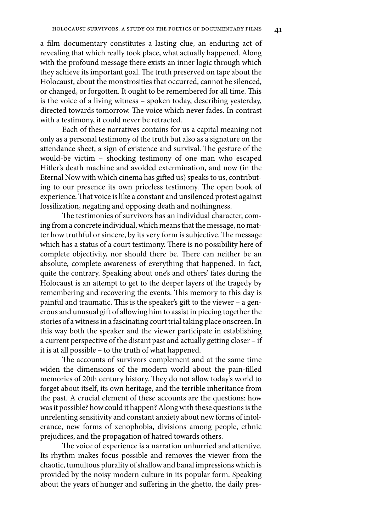a film documentary constitutes a lasting clue, an enduring act of revealing that which really took place, what actually happened. Along with the profound message there exists an inner logic through which they achieve its important goal. The truth preserved on tape about the Holocaust, about the monstrosities that occurred, cannot be silenced, or changed, or forgotten. It ought to be remembered for all time. This is the voice of a living witness – spoken today, describing yesterday, directed towards tomorrow. The voice which never fades. In contrast with a testimony, it could never be retracted.

Each of these narratives contains for us a capital meaning not only as a personal testimony of the truth but also as a signature on the attendance sheet, a sign of existence and survival. The gesture of the would-be victim – shocking testimony of one man who escaped Hitler's death machine and avoided extermination, and now (in the Eternal Now with which cinema has gifted us) speaks to us, contributing to our presence its own priceless testimony. The open book of experience. That voice is like a constant and unsilenced protest against fossilization, negating and opposing death and nothingness.

The testimonies of survivors has an individual character, coming from a concrete individual, which means that the message, no matter how truthful or sincere, by its very form is subjective. The message which has a status of a court testimony. There is no possibility here of complete objectivity, nor should there be. There can neither be an absolute, complete awareness of everything that happened. In fact, quite the contrary. Speaking about one's and others' fates during the Holocaust is an attempt to get to the deeper layers of the tragedy by remembering and recovering the events. This memory to this day is painful and traumatic. This is the speaker's gift to the viewer – a generous and unusual gift of allowing him to assist in piecing together the stories of a witness in a fascinating court trial taking place onscreen. In this way both the speaker and the viewer participate in establishing a current perspective of the distant past and actually getting closer – if it is at all possible – to the truth of what happened.

The accounts of survivors complement and at the same time widen the dimensions of the modern world about the pain-filled memories of 20th century history. They do not allow today's world to forget about itself, its own heritage, and the terrible inheritance from the past. A crucial element of these accounts are the questions: how was it possible? how could it happen? Along with these questions is the unrelenting sensitivity and constant anxiety about new forms of intolerance, new forms of xenophobia, divisions among people, ethnic prejudices, and the propagation of hatred towards others.

The voice of experience is a narration unhurried and attentive. Its rhythm makes focus possible and removes the viewer from the chaotic, tumultous plurality of shallow and banal impressions which is provided by the noisy modern culture in its popular form. Speaking about the years of hunger and suffering in the ghetto, the daily pres-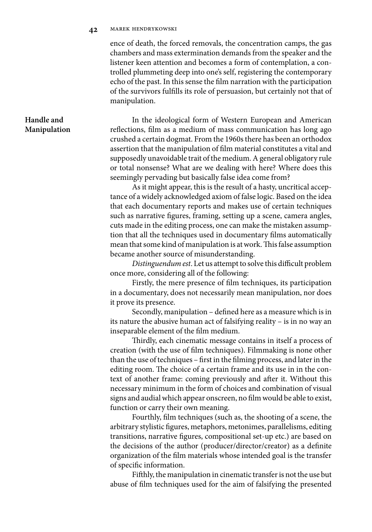### **42** marek hendrykowski

ence of death, the forced removals, the concentration camps, the gas chambers and mass extermination demands from the speaker and the listener keen attention and becomes a form of contemplation, a controlled plummeting deep into one's self, registering the contemporary echo of the past. In this sense the film narration with the participation of the survivors fulfills its role of persuasion, but certainly not that of manipulation.

# **Handle and Manipulation**

In the ideological form of Western European and American reflections, film as a medium of mass communication has long ago crushed a certain dogmat. From the 1960s there has been an orthodox assertion that the manipulation of film material constitutes a vital and supposedly unavoidable trait of the medium. A general obligatory rule or total nonsense? What are we dealing with here? Where does this seemingly pervading but basically false idea come from?

As it might appear, this is the result of a hasty, uncritical acceptance of a widely acknowledged axiom of false logic. Based on the idea that each documentary reports and makes use of certain techniques such as narrative figures, framing, setting up a scene, camera angles, cuts made in the editing process, one can make the mistaken assumption that all the techniques used in documentary films automatically mean that some kind of manipulation is at work. This false assumption became another source of misunderstanding.

*Distinguendum est*. Let us attempt to solve this difficult problem once more, considering all of the following:

Firstly, the mere presence of film techniques, its participation in a documentary, does not necessarily mean manipulation, nor does it prove its presence.

Secondly, manipulation – defined here as a measure which is in its nature the abusive human act of falsifying reality – is in no way an inseparable element of the film medium.

Thirdly, each cinematic message contains in itself a process of creation (with the use of film techniques). Filmmaking is none other than the use of techniques – first in the filming process, and later in the editing room. The choice of a certain frame and its use in in the context of another frame: coming previously and after it. Without this necessary minimum in the form of choices and combination of visual signs and audial which appear onscreen, no film would be able to exist, function or carry their own meaning.

Fourthly, film techniques (such as, the shooting of a scene, the arbitrary stylistic figures, metaphors, metonimes, parallelisms, editing transitions, narrative figures, compositional set-up etc.) are based on the decisions of the author (producer/director/creator) as a definite organization of the film materials whose intended goal is the transfer of specific information.

Fifthly, the manipulation in cinematic transfer is not the use but abuse of film techniques used for the aim of falsifying the presented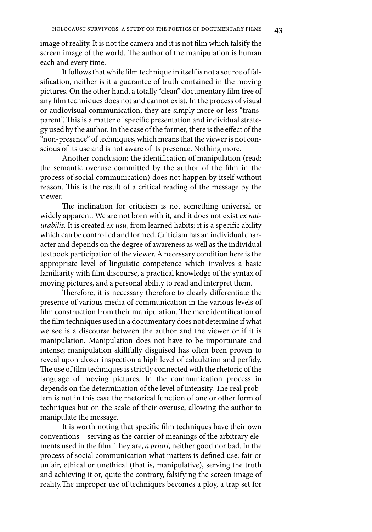image of reality. It is not the camera and it is not film which falsify the screen image of the world. The author of the manipulation is human each and every time.

It follows that while film technique in itself is not a source of falsification, neither is it a guarantee of truth contained in the moving pictures. On the other hand, a totally "clean" documentary film free of any film techniques does not and cannot exist. In the process of visual or audiovisual communication, they are simply more or less "transparent". This is a matter of specific presentation and individual strategy used by the author. In the case of the former, there is the effect of the "non-presence" of techniques, which means that the viewer is not conscious of its use and is not aware of its presence. Nothing more.

Another conclusion: the identification of manipulation (read: the semantic overuse committed by the author of the film in the process of social communication) does not happen by itself without reason. This is the result of a critical reading of the message by the viewer.

The inclination for criticism is not something universal or widely apparent. We are not born with it, and it does not exist *ex naturabilis*. It is created *ex usu*, from learned habits; it is a specific ability which can be controlled and formed. Criticism has an individual character and depends on the degree of awareness as well as the individual textbook participation of the viewer. A necessary condition here is the appropriate level of linguistic competence which involves a basic familiarity with film discourse, a practical knowledge of the syntax of moving pictures, and a personal ability to read and interpret them.

Therefore, it is necessary therefore to clearly differentiate the presence of various media of communication in the various levels of film construction from their manipulation. The mere identification of the film techniques used in a documentary does not determine if what we see is a discourse between the author and the viewer or if it is manipulation. Manipulation does not have to be importunate and intense; manipulation skillfully disguised has often been proven to reveal upon closer inspection a high level of calculation and perfidy. The use of film techniques is strictly connected with the rhetoric of the language of moving pictures. In the communication process in depends on the determination of the level of intensity. The real problem is not in this case the rhetorical function of one or other form of techniques but on the scale of their overuse, allowing the author to manipulate the message.

It is worth noting that specific film techniques have their own conventions – serving as the carrier of meanings of the arbitrary elements used in the film. They are, *a priori*, neither good nor bad. In the process of social communication what matters is defined use: fair or unfair, ethical or unethical (that is, manipulative), serving the truth and achieving it or, quite the contrary, falsifying the screen image of reality.The improper use of techniques becomes a ploy, a trap set for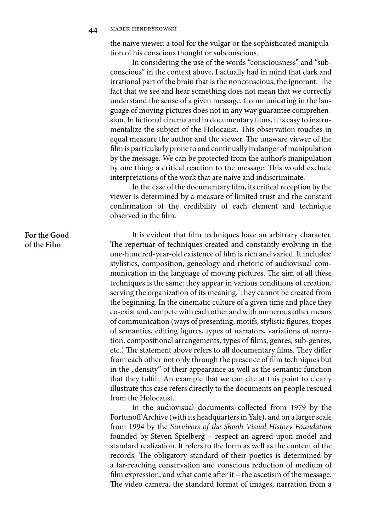the naive viewer, a tool for the vulgar or the sophisticated manipulation of his conscious thought or subconscious.

In considering the use of the words "consciousness" and "subconscious" in the context above, I actually had in mind that dark and irrational part of the brain that is the nonconscious, the ignorant. The fact that we see and hear something does not mean that we correctly understand the sense of a given message. Communicating in the language of moving pictures does not in any way guarantee comprehension. In fictional cinema and in documentary films, it is easy to instrumentalize the subject of the Holocaust. This observation touches in equal measure the author and the viewer. The unaware viewer of the film is particularly prone to and continually in danger of manipulation by the message. We can be protected from the author's manipulation by one thing: a critical reaction to the message. This would exclude interpretations of the work that are naive and indiscriminate.

In the case of the documentary film, its critical reception by the viewer is determined by a measure of limited trust and the constant confirmation of the credibility of each element and technique observed in the film.

It is evident that film techniques have an arbitrary character. The repertuar of techniques created and constantly evolving in the one-hundred-year-old existence of film is rich and varied. It includes: stylistics, composition, geneology and rhetoric of audiovisual communication in the language of moving pictures. The aim of all these techniques is the same: they appear in various conditions of creation, serving the organization of its meaning. They cannot be created from the beginning. In the cinematic culture of a given time and place they co-exist and compete with each other and with numerous other means of communication (ways of presenting, motifs, stylistic figures, tropes of semantics, editing figures, types of narrators, variations of narration, compositional arrangements, types of films, genres, sub-genres, etc.) The statement above refers to all documentary films. They differ from each other not only through the presence of film techniques but in the "density" of their appearance as well as the semantic function that they fulfill. An example that we can cite at this point to clearly illustrate this case refers directly to the documents on people rescued from the Holocaust.

In the audiovisual documents collected from 1979 by the Fortunoff Archive (with its headquarters in Yale), and on a larger scale from 1994 by the *Survivors of the Shoah Visual History Foundation* founded by Steven Spielberg – respect an agreed-upon model and standard realization. It refers to the form as well as the content of the records. The obligatory standard of their poetics is determined by a far-reaching conservation and conscious reduction of medium of film expression, and what come after it – the ascetism of the message. The video camera, the standard format of images, narration from a

## **For the Good of the Film**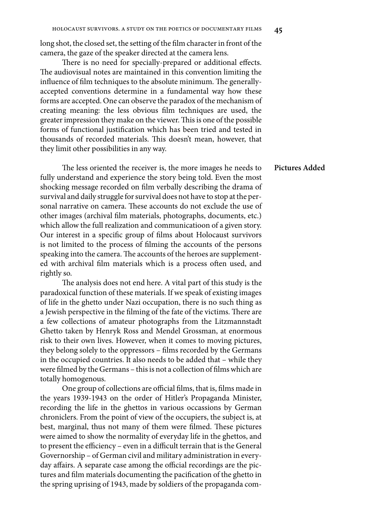long shot, the closed set, the setting of the film character in front of the camera, the gaze of the speaker directed at the camera lens.

There is no need for specially-prepared or additional effects. The audiovisual notes are maintained in this convention limiting the influence of film techniques to the absolute minimum. The generallyaccepted conventions determine in a fundamental way how these forms are accepted. One can observe the paradox of the mechanism of creating meaning: the less obvious film techniques are used, the greater impression they make on the viewer. This is one of the possible forms of functional justification which has been tried and tested in thousands of recorded materials. This doesn't mean, however, that they limit other possibilities in any way.

The less oriented the receiver is, the more images he needs to fully understand and experience the story being told. Even the most shocking message recorded on film verbally describing the drama of survival and daily struggle for survival does not have to stop at the personal narrative on camera. These accounts do not exclude the use of other images (archival film materials, photographs, documents, etc.) which allow the full realization and communicatioon of a given story. Our interest in a specific group of films about Holocaust survivors is not limited to the process of filming the accounts of the persons speaking into the camera. The accounts of the heroes are supplemented with archival film materials which is a process often used, and rightly so.

The analysis does not end here. A vital part of this study is the paradoxical function of these materials. If we speak of existing images of life in the ghetto under Nazi occupation, there is no such thing as a Jewish perspective in the filming of the fate of the victims. There are a few collections of amateur photographs from the Litzmannstadt Ghetto taken by Henryk Ross and Mendel Grossman, at enormous risk to their own lives. However, when it comes to moving pictures, they belong solely to the oppressors – films recorded by the Germans in the occupied countries. It also needs to be added that – while they were filmed by the Germans – this is not a collection of films which are totally homogenous.

One group of collections are official films, that is, films made in the years 1939-1943 on the order of Hitler's Propaganda Minister, recording the life in the ghettos in various occassions by German chroniclers. From the point of view of the occupiers, the subject is, at best, marginal, thus not many of them were filmed. These pictures were aimed to show the normality of everyday life in the ghettos, and to present the efficiency – even in a difficult terrain that is the General Governorship – of German civil and military administration in everyday affairs. A separate case among the official recordings are the pictures and film materials documenting the pacification of the ghetto in the spring uprising of 1943, made by soldiers of the propaganda com-

**Pictures Added**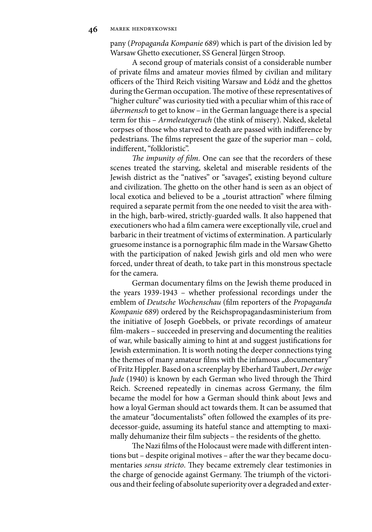pany (*Propaganda Kompanie 689*) which is part of the division led by Warsaw Ghetto executioner, SS General Jürgen Stroop.

A second group of materials consist of a considerable number of private films and amateur movies filmed by civilian and military officers of the Third Reich visiting Warsaw and Łódź and the ghettos during the German occupation. The motive of these representatives of "higher culture" was curiosity tied with a peculiar whim of this race of *übermensch* to get to know – in the German language there is a special term for this – *Armeleutegeruch* (the stink of misery). Naked, skeletal corpses of those who starved to death are passed with indifference by pedestrians. The films represent the gaze of the superior man – cold, indifferent, "folkloristic".

*The impunity of film*. One can see that the recorders of these scenes treated the starving, skeletal and miserable residents of the Jewish district as the "natives" or "savages", existing beyond culture and civilization. The ghetto on the other hand is seen as an object of local exotica and believed to be a "tourist attraction" where filming required a separate permit from the one needed to visit the area within the high, barb-wired, strictly-guarded walls. It also happened that executioners who had a film camera were exceptionally vile, cruel and barbaric in their treatment of victims of extermination. A particularly gruesome instance is a pornographic film made in the Warsaw Ghetto with the participation of naked Jewish girls and old men who were forced, under threat of death, to take part in this monstrous spectacle for the camera.

German documentary films on the Jewish theme produced in the years 1939-1943 – whether professional recordings under the emblem of *Deutsche Wochenschau* (film reporters of the *Propaganda Kompanie 689*) ordered by the Reichspropagandasministerium from the initiative of Joseph Goebbels, or private recordings of amateur film-makers – succeeded in preserving and documenting the realities of war, while basically aiming to hint at and suggest justifications for Jewish extermination. It is worth noting the deeper connections tying the themes of many amateur films with the infamous "documentary" of Fritz Hippler. Based on a screenplay by Eberhard Taubert, *Der ewige Jude* (1940) is known by each German who lived through the Third Reich. Screened repeatedly in cinemas across Germany, the film became the model for how a German should think about Jews and how a loyal German should act towards them. It can be assumed that the amateur "documentalists" often followed the examples of its predecessor-guide, assuming its hateful stance and attempting to maximally dehumanize their film subjects – the residents of the ghetto.

The Nazi films of the Holocaust were made with different intentions but – despite original motives – after the war they became documentaries *sensu stricto*. They became extremely clear testimonies in the charge of genocide against Germany. The triumph of the victorious and their feeling of absolute superiority over a degraded and exter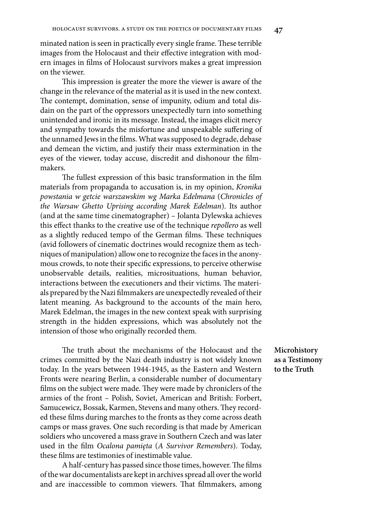minated nation is seen in practically every single frame. These terrible images from the Holocaust and their effective integration with modern images in films of Holocaust survivors makes a great impression on the viewer.

This impression is greater the more the viewer is aware of the change in the relevance of the material as it is used in the new context. The contempt, domination, sense of impunity, odium and total disdain on the part of the oppressors unexpectedly turn into something unintended and ironic in its message. Instead, the images elicit mercy and sympathy towards the misfortune and unspeakable suffering of the unnamed Jews in the films. What was supposed to degrade, debase and demean the victim, and justify their mass extermination in the eyes of the viewer, today accuse, discredit and dishonour the filmmakers.

The fullest expression of this basic transformation in the film materials from propaganda to accusation is, in my opinion, *Kronika powstania w getcie warszawskim wg Marka Edelmana* (*Chronicles of the Warsaw Ghetto Uprising according Marek Edelman*). Its author (and at the same time cinematographer) – Jolanta Dylewska achieves this effect thanks to the creative use of the technique *repollero* as well as a slightly reduced tempo of the German films. These techniques (avid followers of cinematic doctrines would recognize them as techniques of manipulation) allow one to recognize the faces in the anonymous crowds, to note their specific expressions, to perceive otherwise unobservable details, realities, microsituations, human behavior, interactions between the executioners and their victims. The materials prepared by the Nazi filmmakers are unexpectedly revealed of their latent meaning. As background to the accounts of the main hero, Marek Edelman, the images in the new context speak with surprising strength in the hidden expressions, which was absolutely not the intension of those who originally recorded them.

The truth about the mechanisms of the Holocaust and the crimes committed by the Nazi death industry is not widely known today. In the years between 1944-1945, as the Eastern and Western Fronts were nearing Berlin, a considerable number of documentary films on the subject were made. They were made by chroniclers of the armies of the front – Polish, Soviet, American and British: Forbert, Samucewicz, Bossak, Karmen, Stevens and many others. They recorded these films during marches to the fronts as they come across death camps or mass graves. One such recording is that made by American soldiers who uncovered a mass grave in Southern Czech and was later used in the film *Ocalona pamięta* (*A Survivor Remembers*). Today, these films are testimonies of inestimable value.

A half-century has passed since those times, however. The films of the war documentalists are kept in archives spread all over the world and are inaccessible to common viewers. That filmmakers, among

**Microhistory as a Testimony to the Truth**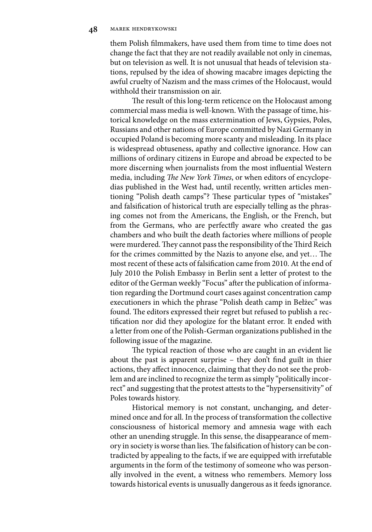them Polish filmmakers, have used them from time to time does not change the fact that they are not readily available not only in cinemas, but on television as well. It is not unusual that heads of television stations, repulsed by the idea of showing macabre images depicting the awful cruelty of Nazism and the mass crimes of the Holocaust, would withhold their transmission on air.

The result of this long-term reticence on the Holocaust among commercial mass media is well-known. With the passage of time, historical knowledge on the mass extermination of Jews, Gypsies, Poles, Russians and other nations of Europe committed by Nazi Germany in occupied Poland is becoming more scanty and misleading. In its place is widespread obtuseness, apathy and collective ignorance. How can millions of ordinary citizens in Europe and abroad be expected to be more discerning when journalists from the most influential Western media, including *The New York Times*, or when editors of encyclopedias published in the West had, until recently, written articles mentioning "Polish death camps"? These particular types of "mistakes" and falsification of historical truth are especially telling as the phrasing comes not from the Americans, the English, or the French, but from the Germans, who are perfectfly aware who created the gas chambers and who built the death factories where millions of people were murdered. They cannot pass the responsibility of the Third Reich for the crimes committed by the Nazis to anyone else, and yet… The most recent of these acts of falsification came from 2010. At the end of July 2010 the Polish Embassy in Berlin sent a letter of protest to the editor of the German weekly "Focus" after the publication of information regarding the Dortmund court cases against concentration camp executioners in which the phrase "Polish death camp in Bełżec" was found. The editors expressed their regret but refused to publish a rectification nor did they apologize for the blatant error. It ended with a letter from one of the Polish-German organizations published in the following issue of the magazine.

The typical reaction of those who are caught in an evident lie about the past is apparent surprise – they don't find guilt in thier actions, they affect innocence, claiming that they do not see the problem and are inclined to recognize the term as simply "politically incorrect" and suggesting that the protest attests to the "hypersensitivity" of Poles towards history.

Historical memory is not constant, unchanging, and determined once and for all. In the process of transformation the collective consciousness of historical memory and amnesia wage with each other an unending struggle. In this sense, the disappearance of memory in society is worse than lies. The falsification of history can be contradicted by appealing to the facts, if we are equipped with irrefutable arguments in the form of the testimony of someone who was personally involved in the event, a witness who remembers. Memory loss towards historical events is unusually dangerous as it feeds ignorance.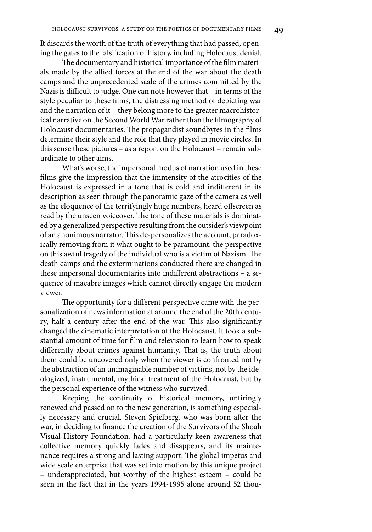It discards the worth of the truth of everything that had passed, opening the gates to the falsification of history, including Holocaust denial.

The documentary and historical importance of the film materials made by the allied forces at the end of the war about the death camps and the unprecedented scale of the crimes committed by the Nazis is difficult to judge. One can note however that – in terms of the style peculiar to these films, the distressing method of depicting war and the narration of it – they belong more to the greater macrohistorical narrative on the Second World War rather than the filmography of Holocaust documentaries. The propagandist soundbytes in the films determine their style and the role that they played in movie circles. In this sense these pictures – as a report on the Holocaust – remain suburdinate to other aims.

What's worse, the impersonal modus of narration used in these films give the impression that the immensity of the atrocities of the Holocaust is expressed in a tone that is cold and indifferent in its description as seen through the panoramic gaze of the camera as well as the eloquence of the terrifyingly huge numbers, heard offscreen as read by the unseen voiceover. The tone of these materials is dominated by a generalized perspective resulting from the outsider's viewpoint of an anonimous narrator. This de-personalizes the account, paradoxically removing from it what ought to be paramount: the perspective on this awful tragedy of the individual who is a victim of Nazism. The death camps and the exterminations conducted there are changed in these impersonal documentaries into indifferent abstractions – a sequence of macabre images which cannot directly engage the modern viewer.

The opportunity for a different perspective came with the personalization of news information at around the end of the 20th century, half a century after the end of the war. This also significantly changed the cinematic interpretation of the Holocaust. It took a substantial amount of time for film and television to learn how to speak differently about crimes against humanity. That is, the truth about them could be uncovered only when the viewer is confronted not by the abstraction of an unimaginable number of victims, not by the ideologized, instrumental, mythical treatment of the Holocaust, but by the personal experience of the witness who survived.

Keeping the continuity of historical memory, untiringly renewed and passed on to the new generation, is something especially necessary and crucial. Steven Spielberg, who was born after the war, in deciding to finance the creation of the Survivors of the Shoah Visual History Foundation, had a particularly keen awareness that collective memory quickly fades and disappears, and its maintenance requires a strong and lasting support. The global impetus and wide scale enterprise that was set into motion by this unique project – underappreciated, but worthy of the highest esteem – could be seen in the fact that in the years 1994-1995 alone around 52 thou-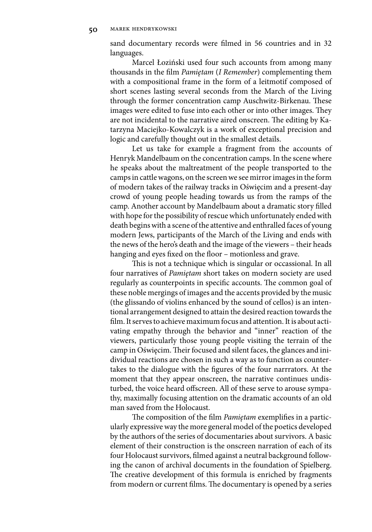sand documentary records were filmed in 56 countries and in 32 languages.

Marcel Łoziński used four such accounts from among many thousands in the film *Pamiętam* (*I Remember*) complementing them with a compositional frame in the form of a leitmotif composed of short scenes lasting several seconds from the March of the Living through the former concentration camp Auschwitz-Birkenau. These images were edited to fuse into each other or into other images. They are not incidental to the narrative aired onscreen. The editing by Katarzyna Maciejko-Kowalczyk is a work of exceptional precision and logic and carefully thought out in the smallest details.

Let us take for example a fragment from the accounts of Henryk Mandelbaum on the concentration camps. In the scene where he speaks about the maltreatment of the people transported to the camps in cattle wagons, on the screen we see mirror images in the form of modern takes of the railway tracks in Oświęcim and a present-day crowd of young people heading towards us from the ramps of the camp. Another account by Mandelbaum about a dramatic story filled with hope for the possibility of rescue which unfortunately ended with death begins with a scene of the attentive and enthralled faces of young modern Jews, participants of the March of the Living and ends with the news of the hero's death and the image of the viewers – their heads hanging and eyes fixed on the floor – motionless and grave.

This is not a technique which is singular or occassional. In all four narratives of *Pamiętam* short takes on modern society are used regularly as counterpoints in specific accounts. The common goal of these noble mergings of images and the accents provided by the music (the glissando of violins enhanced by the sound of cellos) is an intentional arrangement designed to attain the desired reaction towards the film. It serves to achieve maximum focus and attention. It is about activating empathy through the behavior and "inner" reaction of the viewers, particularly those young people visiting the terrain of the camp in Oświęcim. Their focused and silent faces, the glances and inidividual reactions are chosen in such a way as to function as countertakes to the dialogue with the figures of the four narrrators. At the moment that they appear onscreen, the narrative continues undisturbed, the voice heard offscreen. All of these serve to arouse sympathy, maximally focusing attention on the dramatic accounts of an old man saved from the Holocaust.

The composition of the film *Pamiętam* exemplifies in a particularly expressive way the more general model of the poetics developed by the authors of the series of documentaries about survivors. A basic element of their construction is the onscreen narration of each of its four Holocaust survivors, filmed against a neutral background following the canon of archival documents in the foundation of Spielberg. The creative development of this formula is enriched by fragments from modern or current films. The documentary is opened by a series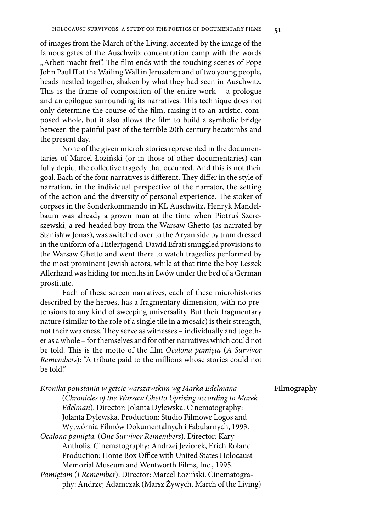of images from the March of the Living, accented by the image of the famous gates of the Auschwitz concentration camp with the words "Arbeit macht frei". The film ends with the touching scenes of Pope John Paul II at the Wailing Wall in Jerusalem and of two young people, heads nestled together, shaken by what they had seen in Auschwitz. This is the frame of composition of the entire work – a prologue and an epilogue surrounding its narratives. This technique does not only determine the course of the film, raising it to an artistic, composed whole, but it also allows the film to build a symbolic bridge between the painful past of the terrible 20th century hecatombs and the present day.

None of the given microhistories represented in the documentaries of Marcel Łoziński (or in those of other documentaries) can fully depict the collective tragedy that occurred. And this is not their goal. Each of the four narratives is different. They differ in the style of narration, in the individual perspective of the narrator, the setting of the action and the diversity of personal experience. The stoker of corpses in the Sonderkommando in KL Auschwitz, Henryk Mandelbaum was already a grown man at the time when Piotruś Szereszewski, a red-headed boy from the Warsaw Ghetto (as narrated by Stanisław Jonas), was switched over to the Aryan side by tram dressed in the uniform of a Hitlerjugend. Dawid Efrati smuggled provisions to the Warsaw Ghetto and went there to watch tragedies performed by the most prominent Jewish actors, while at that time the boy Leszek Allerhand was hiding for months in Lwów under the bed of a German prostitute.

Each of these screen narratives, each of these microhistories described by the heroes, has a fragmentary dimension, with no pretensions to any kind of sweeping universality. But their fragmentary nature (similar to the role of a single tile in a mosaic) is their strength, not their weakness. They serve as witnesses – individually and together as a whole – for themselves and for other narratives which could not be told. This is the motto of the film *Ocalona pamięta* (*A Survivor Remembers*): "A tribute paid to the millions whose stories could not be told."

*Kronika powstania w getcie warszawskim wg Marka Edelmana*

| Ntonika powstania w gettie warszawskim wę inarka Edelmana      | <b>FIIMOGI</b> |
|----------------------------------------------------------------|----------------|
| (Chronicles of the Warsaw Ghetto Uprising according to Marek   |                |
| Edelman). Director: Jolanta Dylewska. Cinematography:          |                |
| Jolanta Dylewska. Production: Studio Filmowe Logos and         |                |
| Wytwórnia Filmów Dokumentalnych i Fabularnych, 1993.           |                |
| Ocalona pamięta. (One Survivor Remembers). Director: Kary      |                |
| Antholis. Cinematography: Andrzej Jeziorek, Erich Roland.      |                |
| Production: Home Box Office with United States Holocaust       |                |
| Memorial Museum and Wentworth Films, Inc., 1995.               |                |
| Pamiętam (I Remember). Director: Marcel Łoziński. Cinematogra- |                |
| phy: Andrzej Adamczak (Marsz Żywych, March of the Living)      |                |
|                                                                |                |

# **Filmography**